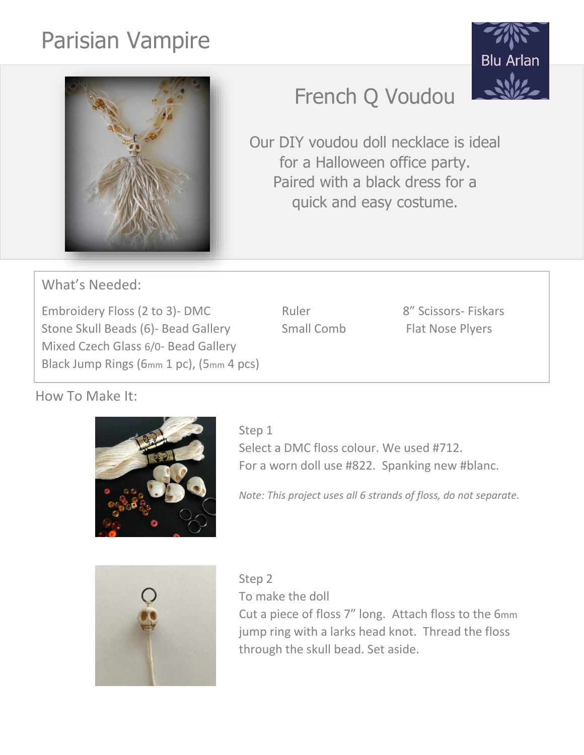# Parisian Vampire





# French Q Voudou

Our DIY voudou doll necklace is ideal for a Halloween office party. Paired with a black dress for a quick and easy costume.

What's Needed:

Embroidery Floss (2 to 3)- DMC Ruler Ruler 8" Scissors- Fiskars Stone Skull Beads (6)- Bead Gallery Small Comb Flat Nose Plyers Mixed Czech Glass 6/0- Bead Gallery Black Jump Rings (6mm 1 pc), (5mm 4 pcs)

## How To Make It:



Select a DMC floss colour. We used #712. For a worn doll use #822. Spanking new #blanc.

*Note: This project uses all 6 strands of floss, do not separate.*



Step 2 To make the doll Cut a piece of floss 7" long. Attach floss to the 6mm jump ring with a larks head knot. Thread the floss through the skull bead. Set aside.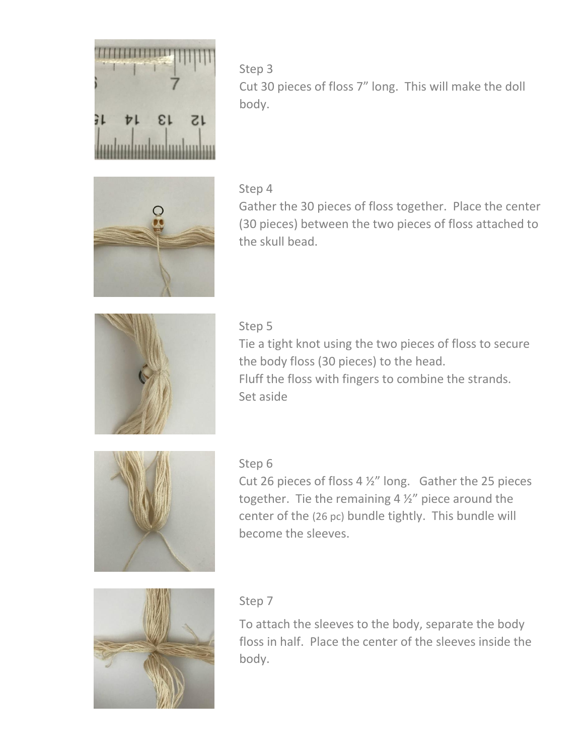

Step 3 Cut 30 pieces of floss 7" long. This will make the doll body.

#### Step 4





#### Step 5

Tie a tight knot using the two pieces of floss to secure the body floss (30 pieces) to the head. Fluff the floss with fingers to combine the strands. Set aside



#### Step 6

Cut 26 pieces of floss 4 ½" long. Gather the 25 pieces together. Tie the remaining 4 ½" piece around the center of the (26 pc) bundle tightly. This bundle will become the sleeves.



#### Step 7

To attach the sleeves to the body, separate the body floss in half. Place the center of the sleeves inside the body.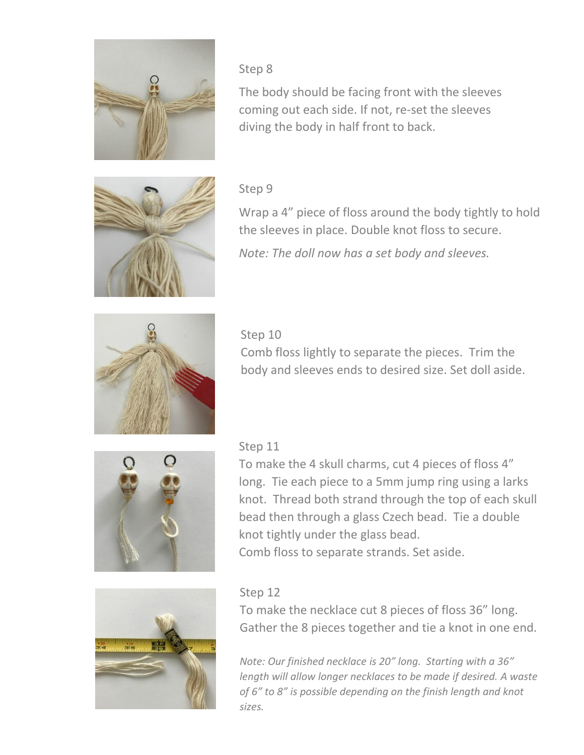

#### Step 8

The body should be facing front with the sleeves coming out each side. If not, re-set the sleeves diving the body in half front to back.



#### Step 9

Wrap a 4" piece of floss around the body tightly to hold the sleeves in place. Double knot floss to secure.

*Note: The doll now has a set body and sleeves.*



#### Step 10

Comb floss lightly to separate the pieces. Trim the body and sleeves ends to desired size. Set doll aside.



### Step 11

To make the 4 skull charms, cut 4 pieces of floss 4" long. Tie each piece to a 5mm jump ring using a larks knot. Thread both strand through the top of each skull bead then through a glass Czech bead. Tie a double knot tightly under the glass bead. Comb floss to separate strands. Set aside.



#### Step 12

To make the necklace cut 8 pieces of floss 36" long. Gather the 8 pieces together and tie a knot in one end.

*Note: Our finished necklace is 20" long. Starting with a 36" length will allow longer necklaces to be made if desired. A waste of 6" to 8" is possible depending on the finish length and knot sizes.*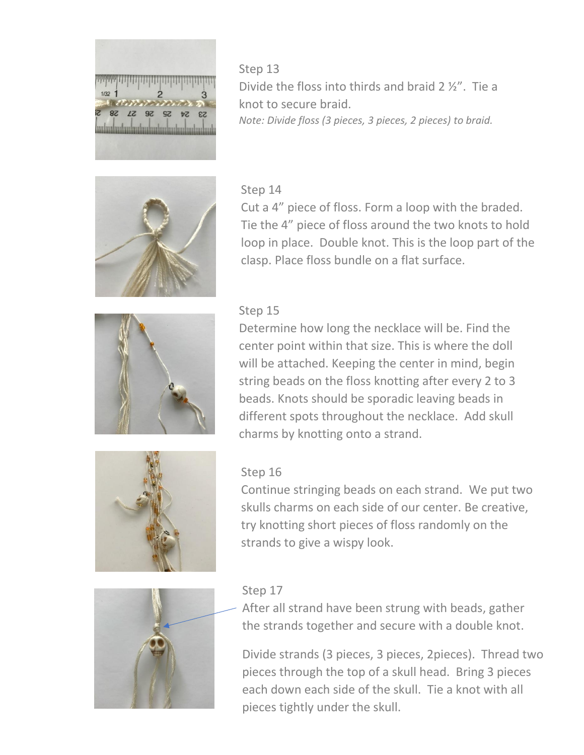

Step 13 Divide the floss into thirds and braid 2 ½". Tie a knot to secure braid. *Note: Divide floss (3 pieces, 3 pieces, 2 pieces) to braid.*



#### Step 14

Cut a 4" piece of floss. Form a loop with the braded. Tie the 4" piece of floss around the two knots to hold loop in place. Double knot. This is the loop part of the clasp. Place floss bundle on a flat surface.



#### Step 15

Determine how long the necklace will be. Find the center point within that size. This is where the doll will be attached. Keeping the center in mind, begin string beads on the floss knotting after every 2 to 3 beads. Knots should be sporadic leaving beads in different spots throughout the necklace. Add skull charms by knotting onto a strand.



#### Step 16

Continue stringing beads on each strand. We put two skulls charms on each side of our center. Be creative, try knotting short pieces of floss randomly on the strands to give a wispy look.



#### Step 17

After all strand have been strung with beads, gather the strands together and secure with a double knot.

Divide strands (3 pieces, 3 pieces, 2pieces). Thread two pieces through the top of a skull head. Bring 3 pieces each down each side of the skull. Tie a knot with all pieces tightly under the skull.